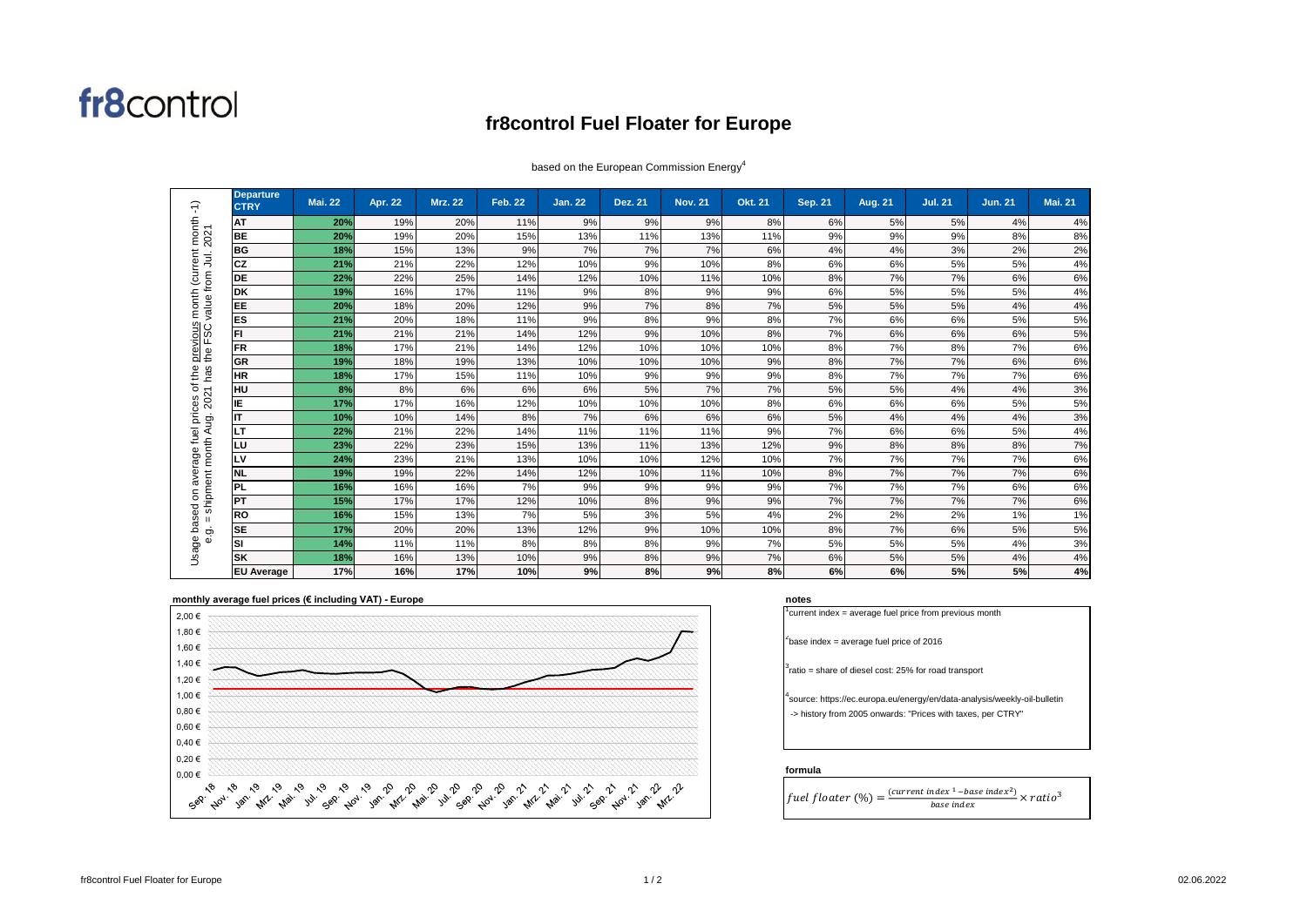# fr8control

## **fr8control Fuel Floater for Europe**

#### based on the European Commission Energy<sup>4</sup>

| $\overline{\phantom{0}}$                           | <b>Departure</b><br><b>CTRY</b> | <b>Mai. 22</b> | <b>Apr. 22</b> | <b>Mrz. 22</b> | <b>Feb. 22</b> | <b>Jan. 22</b> | <b>Dez. 21</b> | <b>Nov. 21</b> | <b>Okt. 21</b> | <b>Sep. 21</b> | <b>Aug. 21</b> | <b>Jul. 21</b> | <b>Jun. 21</b> | <b>Mai. 21</b> |
|----------------------------------------------------|---------------------------------|----------------|----------------|----------------|----------------|----------------|----------------|----------------|----------------|----------------|----------------|----------------|----------------|----------------|
|                                                    | AT                              | 20%            | 19%            | 20%            | 11%            | 9%             | 9%             | 9%             | 8%             | 6%             | 5%             | 5%             | 4%             | 4%             |
| (current month<br>2021<br>value from Jul.<br>month | <b>BE</b>                       | 20%            | 19%            | 20%            | 15%            | 13%            | 11%            | 13%            | 11%            | 9%             | 9%             | 9%             | 8%             | 8%             |
|                                                    | <b>BG</b>                       | 18%            | 15%            | 13%            | 9%             | 7%             | 7%             | 7%             | 6%             | 4%             | 4%             | 3%             | 2%             | 2%             |
|                                                    | CZ                              | 21%            | 21%            | 22%            | 12%            | 10%            | 9%             | 10%            | 8%             | 6%             | 6%             | 5%             | 5%             | 4%             |
|                                                    | DE                              | 22%            | 22%            | 25%            | 14%            | 12%            | 10%            | 11%            | 10%            | 8%             | 7%             | 7%             | 6%             | 6%             |
|                                                    | <b>DK</b>                       | 19%            | 16%            | 17%            | 11%            | 9%             | 8%             | 9%             | 9%             | 6%             | 5%             | 5%             | 5%             | 4%             |
|                                                    | EE                              | 20%            | 18%            | 20%            | 12%            | 9%             | 7%             | 8%             | 7%             | 5%             | 5%             | 5%             | 4%             | 4%             |
|                                                    | ES                              | 21%            | 20%            | 18%            | 11%            | 9%             | 8%             | 9%             | 8%             | 7%             | 6%             | 6%             | 5%             | 5%             |
| previous<br>the FSC                                | FI                              | 21%            | 21%            | 21%            | 14%            | 12%            | 9%             | 10%            | 8%             | 7%             | 6%             | 6%             | 6%             | 5%             |
|                                                    | <b>FR</b>                       | 18%            | 17%            | 21%            | 14%            | 12%            | 10%            | 10%            | 10%            | 8%             | 7%             | 8%             | 7%             | 6%             |
|                                                    | GR                              | 19%            | 18%            | 19%            | 13%            | 10%            | 10%            | 10%            | 9%             | 8%             | 7%             | 7%             | 6%             | 6%             |
| 2021 has<br>the                                    | <b>HR</b>                       | 18%            | 17%            | 15%            | 11%            | 10%            | 9%             | 9%             | 9%             | 8%             | 7%             | 7%             | 7%             | 6%             |
| ৳                                                  | HU                              | 8%             | 8%             | 6%             | 6%             | 6%             | 5%             | 7%             | 7%             | 5%             | 5%             | 4%             | 4%             | 3%             |
|                                                    | IE.                             | 17%            | 17%            | 16%            | 12%            | 10%            | 10%            | 10%            | 8%             | 6%             | 6%             | 6%             | 5%             | 5%             |
| average fuel prices<br>shipment month Aug.         | IΤ                              | 10%            | 10%            | 14%            | 8%             | 7%             | 6%             | 6%             | 6%             | 5%             | 4%             | 4%             | 4%             | 3%             |
|                                                    | LΤ                              | 22%            | 21%            | 22%            | 14%            | 11%            | 11%            | 11%            | 9%             | 7%             | 6%             | 6%             | 5%             | 4%             |
|                                                    | LU                              | 23%            | 22%            | 23%            | 15%            | 13%            | 11%            | 13%            | 12%            | 9%             | 8%             | 8%             | 8%             | 7%             |
|                                                    | LV                              | 24%            | 23%            | 21%            | 13%            | 10%            | 10%            | 12%            | 10%            | 7%             | 7%             | 7%             | 7%             | 6%             |
|                                                    | NL.                             | 19%            | 19%            | 22%            | 14%            | 12%            | 10%            | 11%            | 10%            | 8%             | 7%             | 7%             | 7%             | 6%             |
| g                                                  | <b>PL</b>                       | 16%            | 16%            | 16%            | 7%             | 9%             | 9%             | 9%             | 9%             | 7%             | 7%             | 7%             | 6%             | 6%             |
|                                                    | PT                              | 15%            | 17%            | 17%            | 12%            | 10%            | 8%             | 9%             | 9%             | 7%             | 7%             | 7%             | 7%             | 6%             |
| based                                              | <b>RO</b>                       | 16%            | 15%            | 13%            | 7%             | 5%             | 3%             | 5%             | 4%             | 2%             | 2%             | 2%             | 1%             | 1%             |
| တ်                                                 | <b>SE</b>                       | 17%            | 20%            | 20%            | 13%            | 12%            | 9%             | 10%            | 10%            | 8%             | 7%             | 6%             | 5%             | 5%             |
| ٥ń                                                 | <b>SI</b>                       | 14%            | 11%            | 11%            | 8%             | 8%             | 8%             | 9%             | 7%             | 5%             | 5%             | 5%             | 4%             | 3%             |
| Usage                                              | <b>SK</b>                       | 18%            | 16%            | 13%            | 10%            | 9%             | 8%             | 9%             | 7%             | 6%             | 5%             | 5%             | 4%             | 4%             |
|                                                    | <b>EU Average</b>               | 17%            | 16%            | 17%            | 10%            | 9%             | 8%             | 9%             | 8%             | 6%             | 6%             | 5%             | 5%             | 4%             |



 $1$ current index = average fuel price from previous month

 $2$ base index = average fuel price of 2016

3 ratio = share of diesel cost: 25% for road transport

4 source: https://ec.europa.eu/energy/en/data-analysis/weekly-oil-bulletin -> history from 2005 onwards: "Prices with taxes, per CTRY"

#### **formula**

fuel floater (%) =  $\frac{(current\ index\ ^1 - base\ index^2)}{base\ index} \times ratio^3$